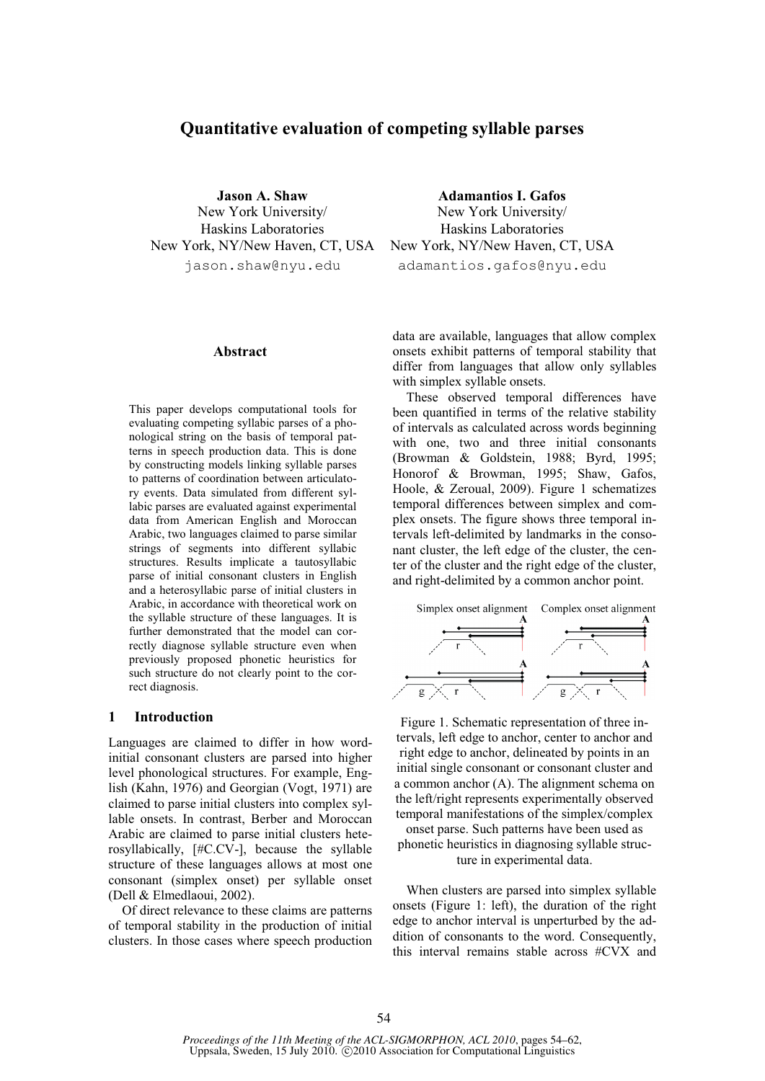# **Quantitative evaluation of competing syllable parses**

**Jason A. Shaw**  New York University/ Haskins Laboratories jason.shaw@nyu.edu

#### **Abstract**

This paper develops computational tools for evaluating competing syllabic parses of a phonological string on the basis of temporal patterns in speech production data. This is done by constructing models linking syllable parses to patterns of coordination between articulatory events. Data simulated from different syllabic parses are evaluated against experimental data from American English and Moroccan Arabic, two languages claimed to parse similar strings of segments into different syllabic structures. Results implicate a tautosyllabic parse of initial consonant clusters in English and a heterosyllabic parse of initial clusters in Arabic, in accordance with theoretical work on the syllable structure of these languages. It is further demonstrated that the model can correctly diagnose syllable structure even when previously proposed phonetic heuristics for such structure do not clearly point to the correct diagnosis.

#### **1 Introduction**

Languages are claimed to differ in how wordinitial consonant clusters are parsed into higher level phonological structures. For example, English (Kahn, 1976) and Georgian (Vogt, 1971) are claimed to parse initial clusters into complex syllable onsets. In contrast, Berber and Moroccan Arabic are claimed to parse initial clusters heterosyllabically, [#C.CV-], because the syllable structure of these languages allows at most one consonant (simplex onset) per syllable onset (Dell & Elmedlaoui, 2002).

Of direct relevance to these claims are patterns of temporal stability in the production of initial clusters. In those cases where speech production

New York, NY/New Haven, CT, USA New York, NY/New Haven, CT, USA **Adamantios I. Gafos**  New York University/ Haskins Laboratories adamantios.gafos@nyu.edu

> data are available, languages that allow complex onsets exhibit patterns of temporal stability that differ from languages that allow only syllables with simplex syllable onsets.

> These observed temporal differences have been quantified in terms of the relative stability of intervals as calculated across words beginning with one, two and three initial consonants (Browman & Goldstein, 1988; Byrd, 1995; Honorof & Browman, 1995; Shaw, Gafos, Hoole, & Zeroual, 2009). Figure 1 schematizes temporal differences between simplex and complex onsets. The figure shows three temporal intervals left-delimited by landmarks in the consonant cluster, the left edge of the cluster, the center of the cluster and the right edge of the cluster, and right-delimited by a common anchor point.



Figure 1. Schematic representation of three intervals, left edge to anchor, center to anchor and right edge to anchor, delineated by points in an initial single consonant or consonant cluster and a common anchor (A). The alignment schema on the left/right represents experimentally observed temporal manifestations of the simplex/complex

onset parse. Such patterns have been used as phonetic heuristics in diagnosing syllable structure in experimental data.

When clusters are parsed into simplex syllable onsets (Figure 1: left), the duration of the right edge to anchor interval is unperturbed by the addition of consonants to the word. Consequently, this interval remains stable across #CVX and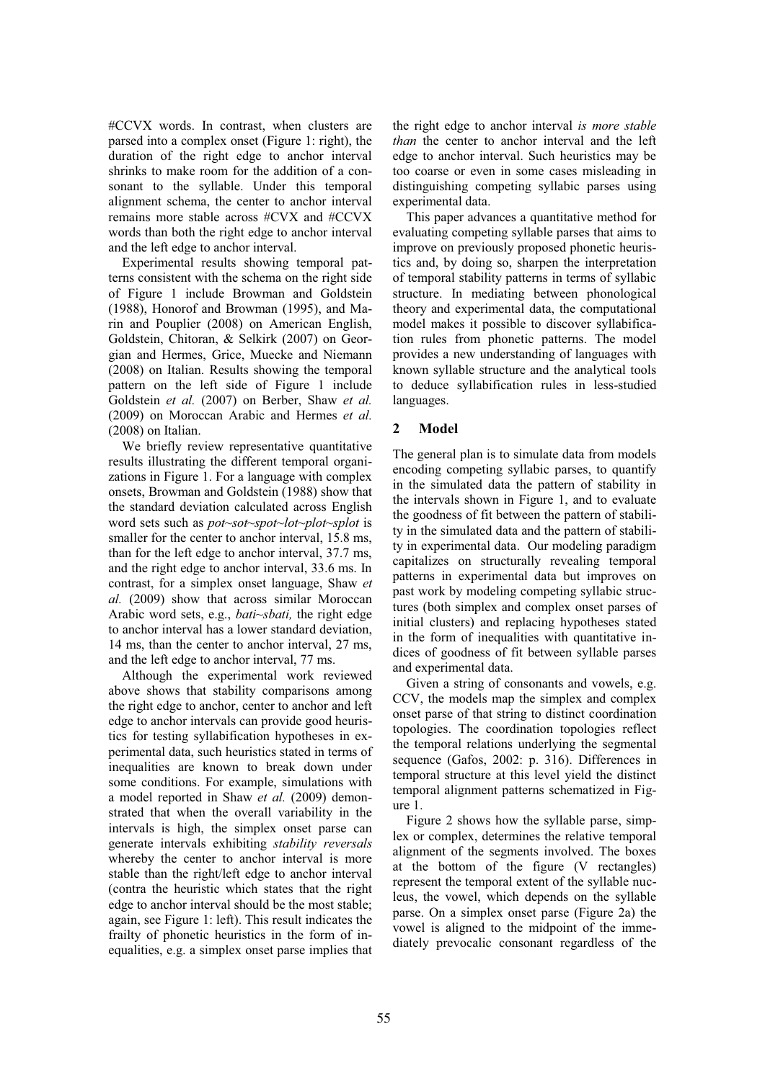#CCVX words. In contrast, when clusters are parsed into a complex onset (Figure 1: right), the duration of the right edge to anchor interval shrinks to make room for the addition of a consonant to the syllable. Under this temporal alignment schema, the center to anchor interval remains more stable across #CVX and #CCVX words than both the right edge to anchor interval and the left edge to anchor interval.

Experimental results showing temporal patterns consistent with the schema on the right side of Figure 1 include Browman and Goldstein (1988), Honorof and Browman (1995), and Marin and Pouplier (2008) on American English, Goldstein, Chitoran, & Selkirk (2007) on Georgian and Hermes, Grice, Muecke and Niemann (2008) on Italian. Results showing the temporal pattern on the left side of Figure 1 include Goldstein *et al.* (2007) on Berber, Shaw *et al.*  (2009) on Moroccan Arabic and Hermes *et al.*  (2008) on Italian.

We briefly review representative quantitative results illustrating the different temporal organizations in Figure 1. For a language with complex onsets, Browman and Goldstein (1988) show that the standard deviation calculated across English word sets such as *pot~sot~spot~lot~plot~splot* is smaller for the center to anchor interval, 15.8 ms, than for the left edge to anchor interval, 37.7 ms, and the right edge to anchor interval, 33.6 ms. In contrast, for a simplex onset language, Shaw *et al.* (2009) show that across similar Moroccan Arabic word sets, e.g., *bati~sbati,* the right edge to anchor interval has a lower standard deviation, 14 ms, than the center to anchor interval, 27 ms, and the left edge to anchor interval, 77 ms.

Although the experimental work reviewed above shows that stability comparisons among the right edge to anchor, center to anchor and left edge to anchor intervals can provide good heuristics for testing syllabification hypotheses in experimental data, such heuristics stated in terms of inequalities are known to break down under some conditions. For example, simulations with a model reported in Shaw *et al.* (2009) demonstrated that when the overall variability in the intervals is high, the simplex onset parse can generate intervals exhibiting *stability reversals* whereby the center to anchor interval is more stable than the right/left edge to anchor interval (contra the heuristic which states that the right edge to anchor interval should be the most stable; again, see Figure 1: left). This result indicates the frailty of phonetic heuristics in the form of inequalities, e.g. a simplex onset parse implies that

the right edge to anchor interval *is more stable than* the center to anchor interval and the left edge to anchor interval. Such heuristics may be too coarse or even in some cases misleading in distinguishing competing syllabic parses using experimental data.

This paper advances a quantitative method for evaluating competing syllable parses that aims to improve on previously proposed phonetic heuristics and, by doing so, sharpen the interpretation of temporal stability patterns in terms of syllabic structure. In mediating between phonological theory and experimental data, the computational model makes it possible to discover syllabification rules from phonetic patterns. The model provides a new understanding of languages with known syllable structure and the analytical tools to deduce syllabification rules in less-studied languages.

## **2 Model**

The general plan is to simulate data from models encoding competing syllabic parses, to quantify in the simulated data the pattern of stability in the intervals shown in Figure 1, and to evaluate the goodness of fit between the pattern of stability in the simulated data and the pattern of stability in experimental data. Our modeling paradigm capitalizes on structurally revealing temporal patterns in experimental data but improves on past work by modeling competing syllabic structures (both simplex and complex onset parses of initial clusters) and replacing hypotheses stated in the form of inequalities with quantitative indices of goodness of fit between syllable parses and experimental data.

Given a string of consonants and vowels, e.g. CCV, the models map the simplex and complex onset parse of that string to distinct coordination topologies. The coordination topologies reflect the temporal relations underlying the segmental sequence (Gafos, 2002: p. 316). Differences in temporal structure at this level yield the distinct temporal alignment patterns schematized in Figure 1.

Figure 2 shows how the syllable parse, simplex or complex, determines the relative temporal alignment of the segments involved. The boxes at the bottom of the figure (V rectangles) represent the temporal extent of the syllable nucleus, the vowel, which depends on the syllable parse. On a simplex onset parse (Figure 2a) the vowel is aligned to the midpoint of the immediately prevocalic consonant regardless of the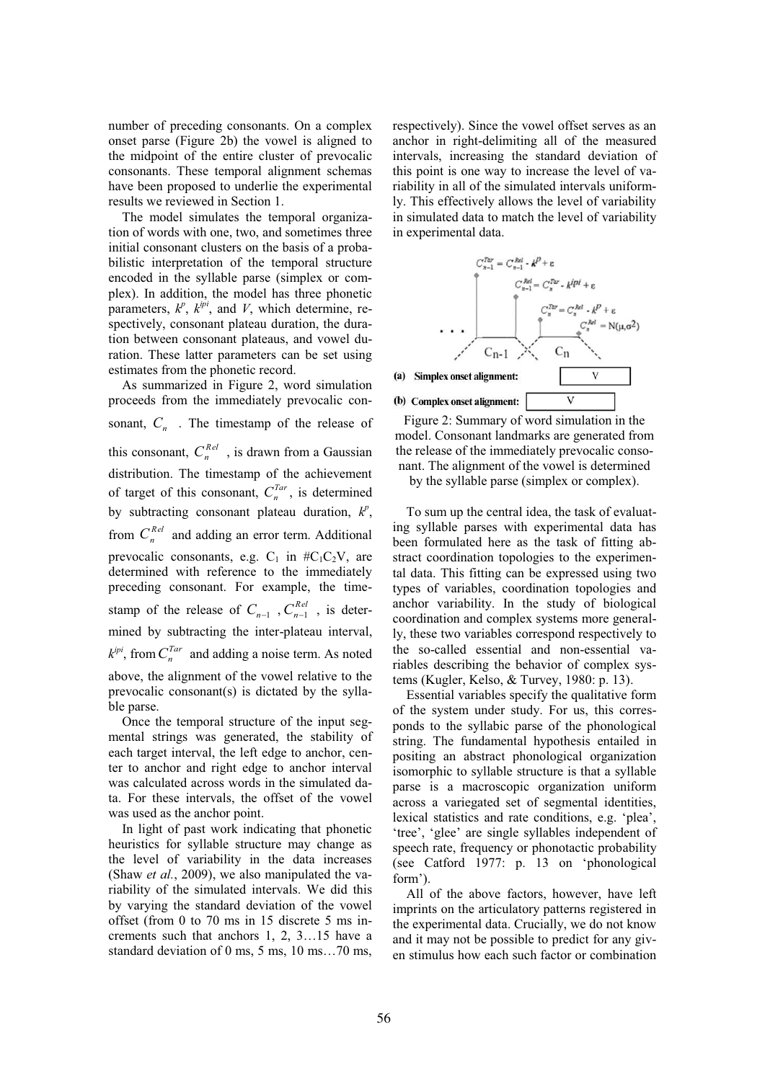number of preceding consonants. On a complex onset parse (Figure 2b) the vowel is aligned to the midpoint of the entire cluster of prevocalic consonants. These temporal alignment schemas have been proposed to underlie the experimental results we reviewed in Section 1.

The model simulates the temporal organization of words with one, two, and sometimes three initial consonant clusters on the basis of a probabilistic interpretation of the temporal structure encoded in the syllable parse (simplex or complex). In addition, the model has three phonetic parameters,  $k^p$ ,  $k^{ipi}$ , and *V*, which determine, respectively, consonant plateau duration, the duration between consonant plateaus, and vowel duration. These latter parameters can be set using estimates from the phonetic record.

As summarized in Figure 2, word simulation proceeds from the immediately prevocalic consonant, *C<sup>n</sup>* . The timestamp of the release of this consonant,  $C_n^{Rel}$ , is drawn from a Gaussian distribution. The timestamp of the achievement of target of this consonant,  $C_n^{Tar}$ , is determined by subtracting consonant plateau duration,  $k^p$ , from  $C_n^{Rel}$  and adding an error term. Additional prevocalic consonants, e.g.  $C_1$  in #C<sub>1</sub>C<sub>2</sub>V, are determined with reference to the immediately preceding consonant. For example, the timestamp of the release of  $C_{n-1}$ ,  $C_{n-1}^{Rel}$ , is determined by subtracting the inter-plateau interval,  $k^{pi}$ , from  $C_n^{Tar}$  and adding a noise term. As noted above, the alignment of the vowel relative to the prevocalic consonant(s) is dictated by the syllable parse.

Once the temporal structure of the input segmental strings was generated, the stability of each target interval, the left edge to anchor, center to anchor and right edge to anchor interval was calculated across words in the simulated data. For these intervals, the offset of the vowel was used as the anchor point.

In light of past work indicating that phonetic heuristics for syllable structure may change as the level of variability in the data increases (Shaw *et al.*, 2009), we also manipulated the variability of the simulated intervals. We did this by varying the standard deviation of the vowel offset (from 0 to 70 ms in 15 discrete 5 ms increments such that anchors 1, 2, 3…15 have a standard deviation of 0 ms, 5 ms, 10 ms…70 ms,

respectively). Since the vowel offset serves as an anchor in right-delimiting all of the measured intervals, increasing the standard deviation of this point is one way to increase the level of variability in all of the simulated intervals uniformly. This effectively allows the level of variability in simulated data to match the level of variability in experimental data.



Figure 2: Summary of word simulation in the model. Consonant landmarks are generated from the release of the immediately prevocalic consonant. The alignment of the vowel is determined

by the syllable parse (simplex or complex).

To sum up the central idea, the task of evaluating syllable parses with experimental data has been formulated here as the task of fitting abstract coordination topologies to the experimental data. This fitting can be expressed using two types of variables, coordination topologies and anchor variability. In the study of biological coordination and complex systems more generally, these two variables correspond respectively to the so-called essential and non-essential variables describing the behavior of complex systems (Kugler, Kelso, & Turvey, 1980: p. 13).

Essential variables specify the qualitative form of the system under study. For us, this corresponds to the syllabic parse of the phonological string. The fundamental hypothesis entailed in positing an abstract phonological organization isomorphic to syllable structure is that a syllable parse is a macroscopic organization uniform across a variegated set of segmental identities, lexical statistics and rate conditions, e.g. 'plea', 'tree', 'glee' are single syllables independent of speech rate, frequency or phonotactic probability (see Catford 1977: p. 13 on 'phonological form').

All of the above factors, however, have left imprints on the articulatory patterns registered in the experimental data. Crucially, we do not know and it may not be possible to predict for any given stimulus how each such factor or combination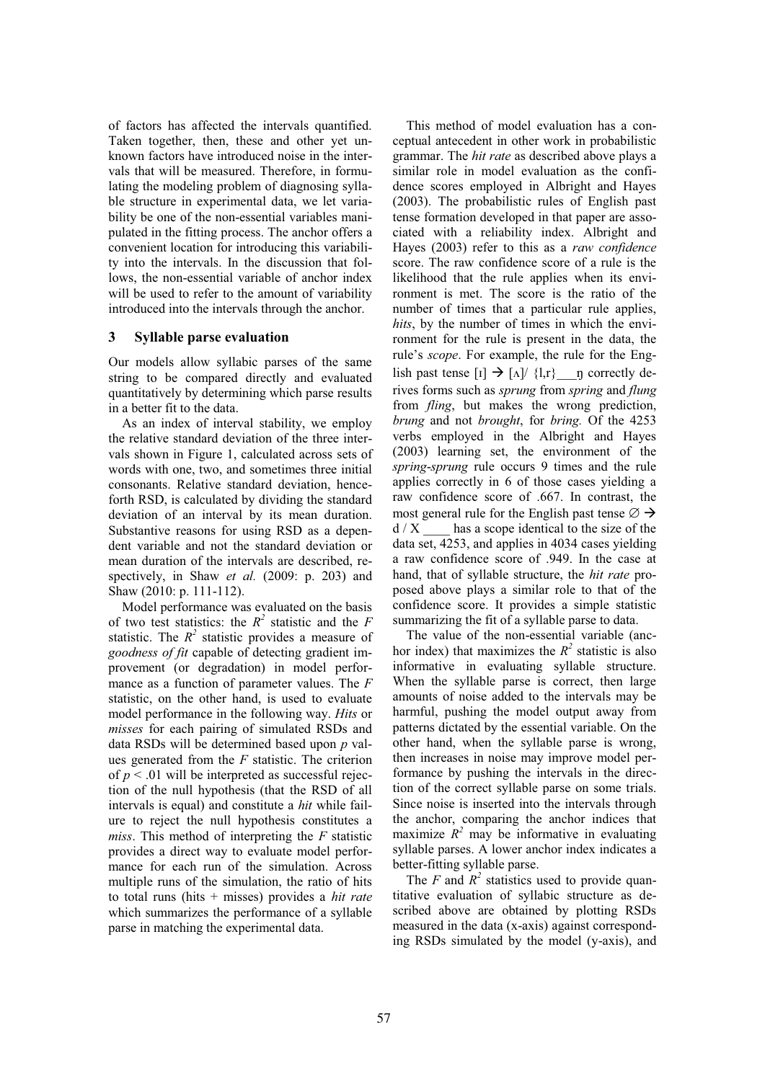of factors has affected the intervals quantified. Taken together, then, these and other yet unknown factors have introduced noise in the intervals that will be measured. Therefore, in formulating the modeling problem of diagnosing syllable structure in experimental data, we let variability be one of the non-essential variables manipulated in the fitting process. The anchor offers a convenient location for introducing this variability into the intervals. In the discussion that follows, the non-essential variable of anchor index will be used to refer to the amount of variability introduced into the intervals through the anchor.

#### **3 Syllable parse evaluation**

Our models allow syllabic parses of the same string to be compared directly and evaluated quantitatively by determining which parse results in a better fit to the data.

As an index of interval stability, we employ the relative standard deviation of the three intervals shown in Figure 1, calculated across sets of words with one, two, and sometimes three initial consonants. Relative standard deviation, henceforth RSD, is calculated by dividing the standard deviation of an interval by its mean duration. Substantive reasons for using RSD as a dependent variable and not the standard deviation or mean duration of the intervals are described, respectively, in Shaw *et al.* (2009: p. 203) and Shaw (2010: p. 111-112).

Model performance was evaluated on the basis of two test statistics: the  $R^2$  statistic and the *F* statistic. The  $R^2$  statistic provides a measure of *goodness of fit* capable of detecting gradient improvement (or degradation) in model performance as a function of parameter values. The *F* statistic, on the other hand, is used to evaluate model performance in the following way. *Hits* or *misses* for each pairing of simulated RSDs and data RSDs will be determined based upon *p* values generated from the *F* statistic. The criterion of  $p < 0.01$  will be interpreted as successful rejection of the null hypothesis (that the RSD of all intervals is equal) and constitute a *hit* while failure to reject the null hypothesis constitutes a *miss*. This method of interpreting the *F* statistic provides a direct way to evaluate model performance for each run of the simulation. Across multiple runs of the simulation, the ratio of hits to total runs (hits + misses) provides a *hit rate* which summarizes the performance of a syllable parse in matching the experimental data.

This method of model evaluation has a conceptual antecedent in other work in probabilistic grammar. The *hit rate* as described above plays a similar role in model evaluation as the confidence scores employed in Albright and Hayes (2003). The probabilistic rules of English past tense formation developed in that paper are associated with a reliability index. Albright and Hayes (2003) refer to this as a *raw confidence* score. The raw confidence score of a rule is the likelihood that the rule applies when its environment is met. The score is the ratio of the number of times that a particular rule applies, *hits*, by the number of times in which the environment for the rule is present in the data, the rule's *scope*. For example, the rule for the English past tense  $\begin{bmatrix} 1 \end{bmatrix}$   $\rightarrow$   $\begin{bmatrix} 1 \end{bmatrix}$   $\begin{bmatrix} 1,1 \end{bmatrix}$  a correctly derives forms such as *sprung* from *spring* and *flung*  from *fling*, but makes the wrong prediction, *brung* and not *brought*, for *bring.* Of the 4253 verbs employed in the Albright and Hayes (2003) learning set, the environment of the *spring*-*sprung* rule occurs 9 times and the rule applies correctly in 6 of those cases yielding a raw confidence score of .667. In contrast, the most general rule for the English past tense  $\varnothing \rightarrow$  $d / X$  has a scope identical to the size of the data set, 4253, and applies in 4034 cases yielding a raw confidence score of .949. In the case at hand, that of syllable structure, the *hit rate* proposed above plays a similar role to that of the confidence score. It provides a simple statistic summarizing the fit of a syllable parse to data.

The value of the non-essential variable (anchor index) that maximizes the  $R^2$  statistic is also informative in evaluating syllable structure. When the syllable parse is correct, then large amounts of noise added to the intervals may be harmful, pushing the model output away from patterns dictated by the essential variable. On the other hand, when the syllable parse is wrong, then increases in noise may improve model performance by pushing the intervals in the direction of the correct syllable parse on some trials. Since noise is inserted into the intervals through the anchor, comparing the anchor indices that maximize  $R^2$  may be informative in evaluating syllable parses. A lower anchor index indicates a better-fitting syllable parse.

The  $F$  and  $R^2$  statistics used to provide quantitative evaluation of syllabic structure as described above are obtained by plotting RSDs measured in the data (x-axis) against corresponding RSDs simulated by the model (y-axis), and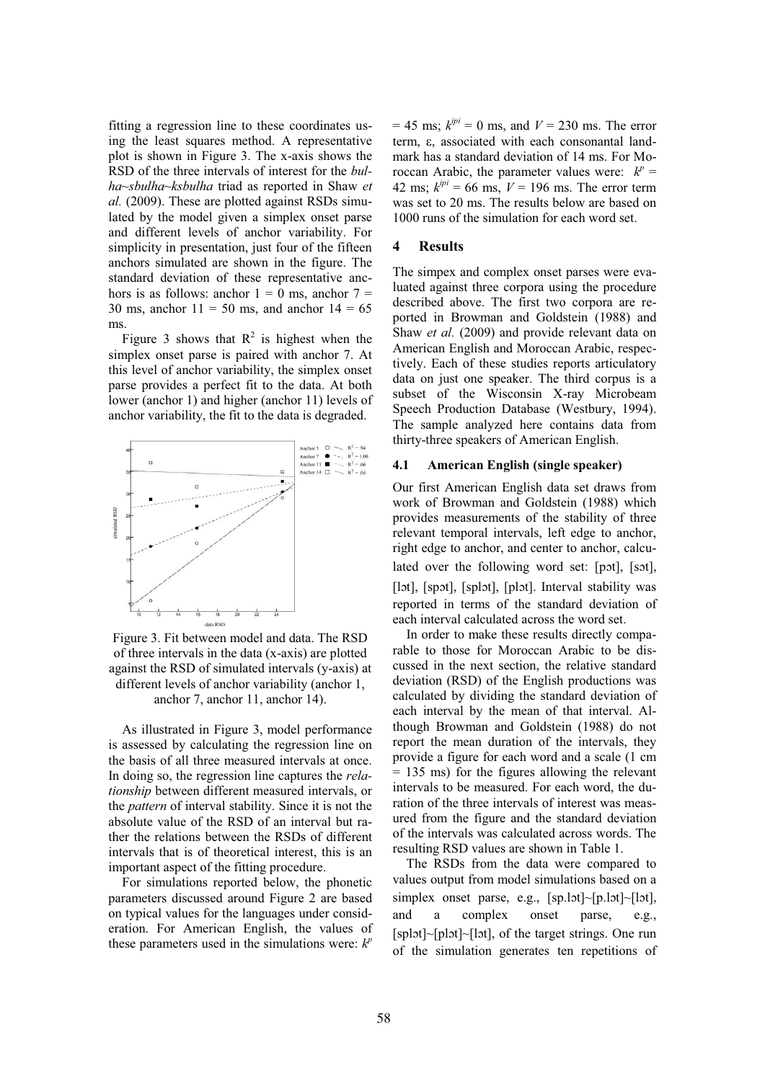fitting a regression line to these coordinates using the least squares method. A representative plot is shown in Figure 3. The x-axis shows the RSD of the three intervals of interest for the *bulha~sbulha~ksbulha* triad as reported in Shaw *et al.* (2009). These are plotted against RSDs simulated by the model given a simplex onset parse and different levels of anchor variability. For simplicity in presentation, just four of the fifteen anchors simulated are shown in the figure. The standard deviation of these representative anchors is as follows: anchor  $1 = 0$  ms, anchor  $7 = 1$ 30 ms, anchor  $11 = 50$  ms, and anchor  $14 = 65$ ms.

Figure 3 shows that  $R^2$  is highest when the simplex onset parse is paired with anchor 7. At this level of anchor variability, the simplex onset parse provides a perfect fit to the data. At both lower (anchor 1) and higher (anchor 11) levels of anchor variability, the fit to the data is degraded.



Figure 3. Fit between model and data. The RSD of three intervals in the data (x-axis) are plotted against the RSD of simulated intervals (y-axis) at different levels of anchor variability (anchor 1, anchor 7, anchor 11, anchor 14).

As illustrated in Figure 3, model performance is assessed by calculating the regression line on the basis of all three measured intervals at once. In doing so, the regression line captures the *relationship* between different measured intervals, or the *pattern* of interval stability. Since it is not the absolute value of the RSD of an interval but rather the relations between the RSDs of different intervals that is of theoretical interest, this is an important aspect of the fitting procedure.

For simulations reported below, the phonetic parameters discussed around Figure 2 are based on typical values for the languages under consideration. For American English, the values of these parameters used in the simulations were:  $k^p$ 

 $= 45$  ms;  $k^{ipi} = 0$  ms, and  $V = 230$  ms. The error term, e, associated with each consonantal landmark has a standard deviation of 14 ms. For Moroccan Arabic, the parameter values were:  $k^p =$ 42 ms;  $k^{ipi} = 66$  ms,  $V = 196$  ms. The error term was set to 20 ms. The results below are based on 1000 runs of the simulation for each word set.

## **4 Results**

The simpex and complex onset parses were evaluated against three corpora using the procedure described above. The first two corpora are reported in Browman and Goldstein (1988) and Shaw *et al.* (2009) and provide relevant data on American English and Moroccan Arabic, respectively. Each of these studies reports articulatory data on just one speaker. The third corpus is a subset of the Wisconsin X-ray Microbeam Speech Production Database (Westbury, 1994). The sample analyzed here contains data from thirty-three speakers of American English.

### **4.1 American English (single speaker)**

Our first American English data set draws from work of Browman and Goldstein (1988) which provides measurements of the stability of three relevant temporal intervals, left edge to anchor, right edge to anchor, and center to anchor, calculated over the following word set: [pɔt], [sɔt], [lɔt], [spɔt], [splɔt], [plɔt]. Interval stability was reported in terms of the standard deviation of each interval calculated across the word set.

In order to make these results directly comparable to those for Moroccan Arabic to be discussed in the next section, the relative standard deviation (RSD) of the English productions was calculated by dividing the standard deviation of each interval by the mean of that interval. Although Browman and Goldstein (1988) do not report the mean duration of the intervals, they provide a figure for each word and a scale (1 cm = 135 ms) for the figures allowing the relevant intervals to be measured. For each word, the duration of the three intervals of interest was measured from the figure and the standard deviation of the intervals was calculated across words. The resulting RSD values are shown in Table 1.

The RSDs from the data were compared to values output from model simulations based on a simplex onset parse, e.g., [sp.lot]~[p.lot]~[lot], and a complex onset parse, e.g., [splɔt]~[plɔt]~[lɔt], of the target strings. One run of the simulation generates ten repetitions of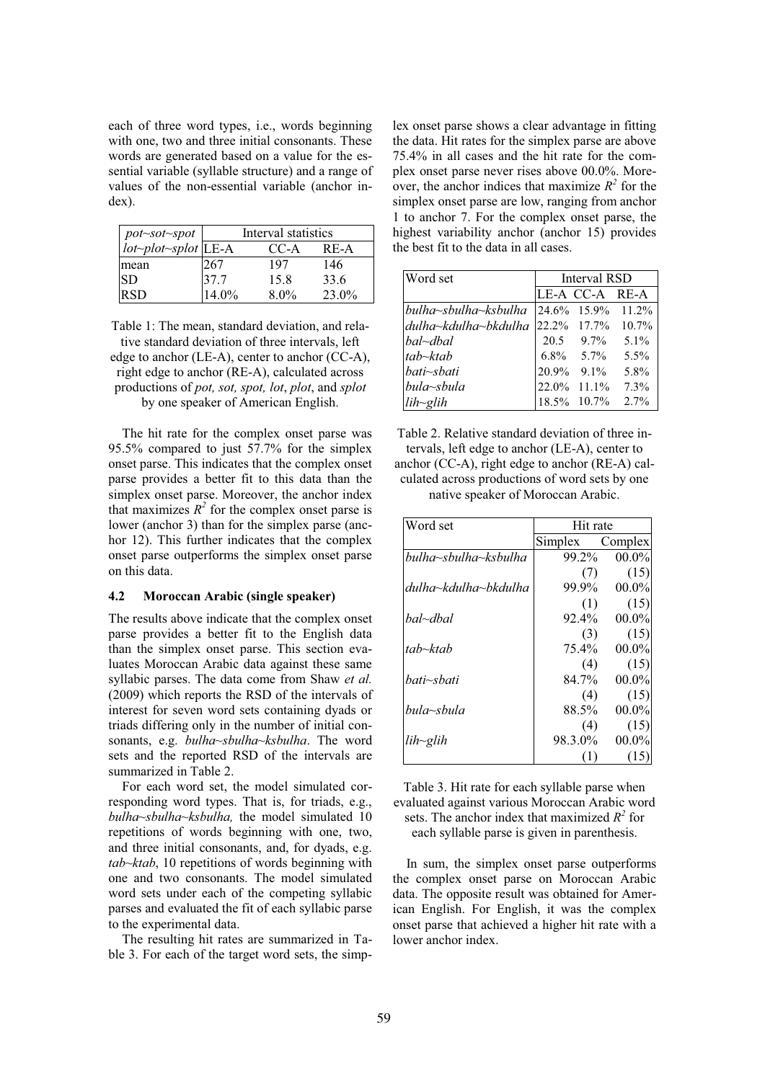each of three word types, i.e., words beginning with one, two and three initial consonants. These words are generated based on a value for the essential variable (syllable structure) and a range of values of the non-essential variable (anchor index).

| pot~sot~spot                      | Interval statistics |         |          |
|-----------------------------------|---------------------|---------|----------|
| $iot$ <sub>plot</sub> -splot LE-A |                     | CC-A    | RE-A     |
| mean                              | 267                 | 197     | 146      |
| SD                                | 37.7                | 15.8    | 33.6     |
| <b>RSD</b>                        | 14.0%               | $8.0\%$ | $23.0\%$ |

Table 1: The mean, standard deviation, and relative standard deviation of three intervals, left edge to anchor (LE-A), center to anchor (CC-A), right edge to anchor (RE-A), calculated across productions of *pot, sot, spot, lot*, *plot*, and *splot* by one speaker of American English.

The hit rate for the complex onset parse was 95.5% compared to just 57.7% for the simplex onset parse. This indicates that the complex onset parse provides a better fit to this data than the simplex onset parse. Moreover, the anchor index that maximizes  $R^2$  for the complex onset parse is lower (anchor 3) than for the simplex parse (anchor 12). This further indicates that the complex onset parse outperforms the simplex onset parse on this data.

## **4.2 Moroccan Arabic (single speaker)**

The results above indicate that the complex onset parse provides a better fit to the English data than the simplex onset parse. This section evaluates Moroccan Arabic data against these same syllabic parses. The data come from Shaw *et al.* (2009) which reports the RSD of the intervals of interest for seven word sets containing dyads or triads differing only in the number of initial consonants, e.g. *bulha~sbulha~ksbulha*. The word sets and the reported RSD of the intervals are summarized in Table 2.

For each word set, the model simulated corresponding word types. That is, for triads, e.g., *bulha~sbulha~ksbulha,* the model simulated 10 repetitions of words beginning with one, two, and three initial consonants, and, for dyads, e.g. *tab~ktab*, 10 repetitions of words beginning with one and two consonants. The model simulated word sets under each of the competing syllabic parses and evaluated the fit of each syllabic parse to the experimental data.

The resulting hit rates are summarized in Table 3. For each of the target word sets, the simp-

lex onset parse shows a clear advantage in fitting the data. Hit rates for the simplex parse are above 75.4% in all cases and the hit rate for the complex onset parse never rises above 00.0%. Moreover, the anchor indices that maximize  $R^2$  for the simplex onset parse are low, ranging from anchor 1 to anchor 7. For the complex onset parse, the highest variability anchor (anchor 15) provides the best fit to the data in all cases.

| Word set             | Interval RSD |                |         |
|----------------------|--------------|----------------|---------|
|                      |              | LE-A CC-A RE-A |         |
| bulha~sbulha~ksbulha |              | 24.6% 15.9%    | 11.2%   |
| dulha~kdulha~bkdulha |              | 22.2% 17.7%    | 10.7%   |
| bal~dbal             |              | $20.5$ 9.7%    | $5.1\%$ |
| tab~ktab             |              | $6.8\%$ 5.7%   | $5.5\%$ |
| bati~sbati           | 20.9%        | $9.1\%$        | 5.8%    |
| bula~sbula           | 22.0%        | $11.1\%$       | 7.3%    |
| $lih$ ~glih          |              | 18.5% 10.7%    | 2.7%    |

Table 2. Relative standard deviation of three intervals, left edge to anchor (LE-A), center to anchor (CC-A), right edge to anchor (RE-A) calculated across productions of word sets by one native speaker of Moroccan Arabic.

| Word set             | Hit rate |          |
|----------------------|----------|----------|
|                      | Simplex  | Complex  |
| bulha~sbulha~ksbulha | 99.2%    | $00.0\%$ |
|                      | (7)      | (15)     |
| dulha~kdulha~bkdulha | 99.9%    | $00.0\%$ |
|                      | (1)      | (15)     |
| hal~dhal             | 92.4%    | $00.0\%$ |
|                      | (3)      | (15)     |
| tab~ktab             | $75.4\%$ | $00.0\%$ |
|                      | (4)      | (15)     |
| hati∼shati           | 84.7%    | $00.0\%$ |
|                      | (4)      | (15)     |
| hula~shula           | 88.5%    | $00.0\%$ |
|                      | (4)      | (15)     |
| $lih\sim$ glih       | 98.3.0%  | $00.0\%$ |
|                      |          | (1)      |

Table 3. Hit rate for each syllable parse when evaluated against various Moroccan Arabic word sets. The anchor index that maximized  $R^2$  for each syllable parse is given in parenthesis.

In sum, the simplex onset parse outperforms the complex onset parse on Moroccan Arabic data. The opposite result was obtained for American English. For English, it was the complex onset parse that achieved a higher hit rate with a lower anchor index.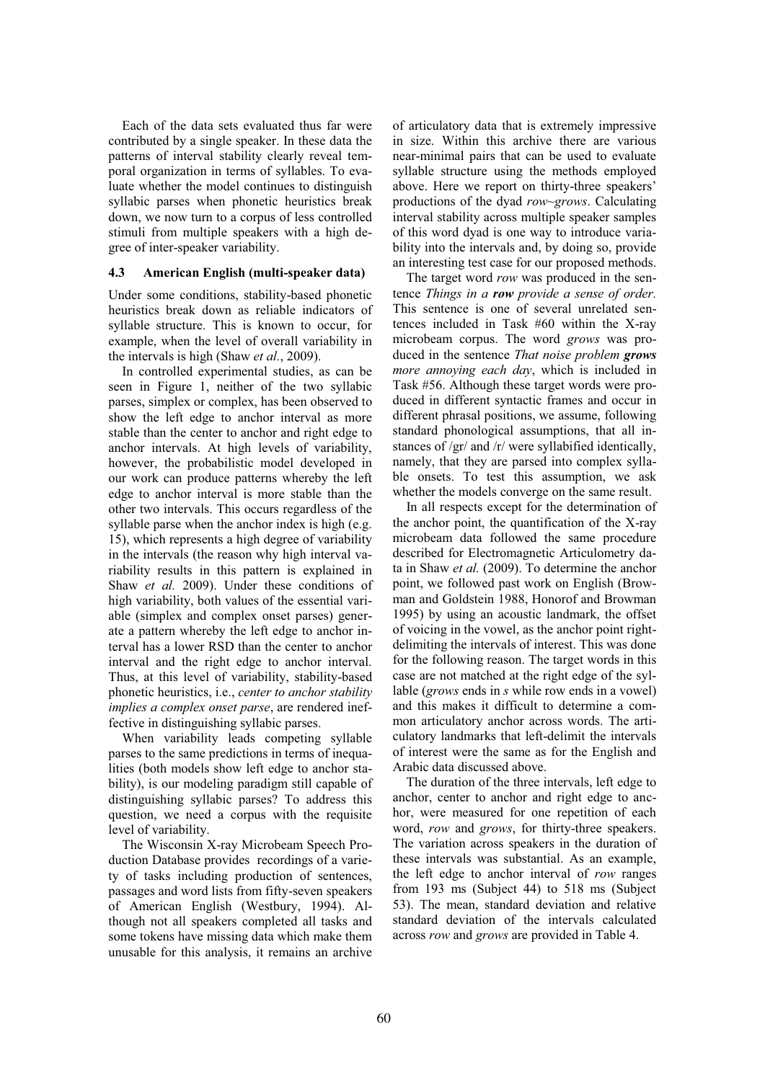Each of the data sets evaluated thus far were contributed by a single speaker. In these data the patterns of interval stability clearly reveal temporal organization in terms of syllables. To evaluate whether the model continues to distinguish syllabic parses when phonetic heuristics break down, we now turn to a corpus of less controlled stimuli from multiple speakers with a high degree of inter-speaker variability.

## **4.3 American English (multi-speaker data)**

Under some conditions, stability-based phonetic heuristics break down as reliable indicators of syllable structure. This is known to occur, for example, when the level of overall variability in the intervals is high (Shaw *et al.*, 2009).

In controlled experimental studies, as can be seen in Figure 1, neither of the two syllabic parses, simplex or complex, has been observed to show the left edge to anchor interval as more stable than the center to anchor and right edge to anchor intervals. At high levels of variability, however, the probabilistic model developed in our work can produce patterns whereby the left edge to anchor interval is more stable than the other two intervals. This occurs regardless of the syllable parse when the anchor index is high (e.g. 15), which represents a high degree of variability in the intervals (the reason why high interval variability results in this pattern is explained in Shaw *et al.* 2009). Under these conditions of high variability, both values of the essential variable (simplex and complex onset parses) generate a pattern whereby the left edge to anchor interval has a lower RSD than the center to anchor interval and the right edge to anchor interval. Thus, at this level of variability, stability-based phonetic heuristics, i.e., *center to anchor stability implies a complex onset parse*, are rendered ineffective in distinguishing syllabic parses.

When variability leads competing syllable parses to the same predictions in terms of inequalities (both models show left edge to anchor stability), is our modeling paradigm still capable of distinguishing syllabic parses? To address this question, we need a corpus with the requisite level of variability.

The Wisconsin X-ray Microbeam Speech Production Database provides recordings of a variety of tasks including production of sentences, passages and word lists from fifty-seven speakers of American English (Westbury, 1994). Although not all speakers completed all tasks and some tokens have missing data which make them unusable for this analysis, it remains an archive of articulatory data that is extremely impressive in size. Within this archive there are various near-minimal pairs that can be used to evaluate syllable structure using the methods employed above. Here we report on thirty-three speakers' productions of the dyad *row~grows*. Calculating interval stability across multiple speaker samples of this word dyad is one way to introduce variability into the intervals and, by doing so, provide an interesting test case for our proposed methods.

The target word *row* was produced in the sentence *Things in a row provide a sense of order.*  This sentence is one of several unrelated sentences included in Task #60 within the X-ray microbeam corpus. The word *grows* was produced in the sentence *That noise problem grows more annoying each day*, which is included in Task #56. Although these target words were produced in different syntactic frames and occur in different phrasal positions, we assume, following standard phonological assumptions, that all instances of /gr/ and /r/ were syllabified identically, namely, that they are parsed into complex syllable onsets. To test this assumption, we ask whether the models converge on the same result.

In all respects except for the determination of the anchor point, the quantification of the X-ray microbeam data followed the same procedure described for Electromagnetic Articulometry data in Shaw *et al.* (2009). To determine the anchor point, we followed past work on English (Browman and Goldstein 1988, Honorof and Browman 1995) by using an acoustic landmark, the offset of voicing in the vowel, as the anchor point rightdelimiting the intervals of interest. This was done for the following reason. The target words in this case are not matched at the right edge of the syllable (*grows* ends in *s* while row ends in a vowel) and this makes it difficult to determine a common articulatory anchor across words. The articulatory landmarks that left-delimit the intervals of interest were the same as for the English and Arabic data discussed above.

The duration of the three intervals, left edge to anchor, center to anchor and right edge to anchor, were measured for one repetition of each word, *row* and *grows*, for thirty-three speakers. The variation across speakers in the duration of these intervals was substantial. As an example, the left edge to anchor interval of *row* ranges from 193 ms (Subject 44) to 518 ms (Subject 53). The mean, standard deviation and relative standard deviation of the intervals calculated across *row* and *grows* are provided in Table 4.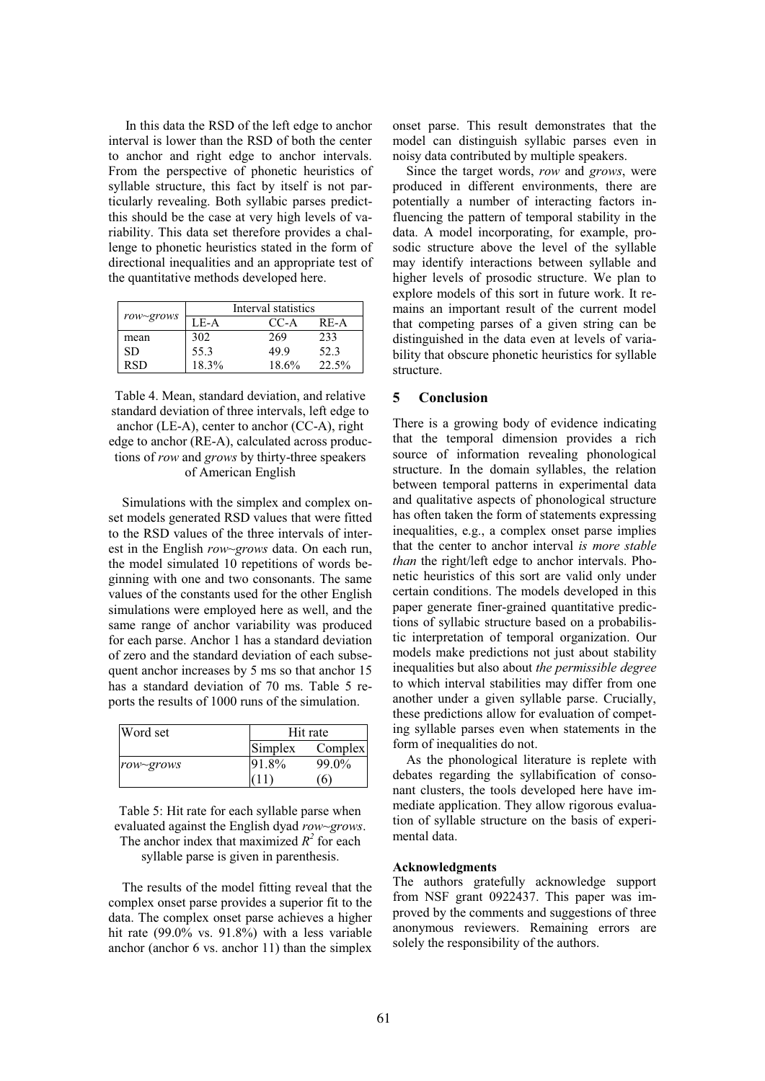In this data the RSD of the left edge to anchor interval is lower than the RSD of both the center to anchor and right edge to anchor intervals. From the perspective of phonetic heuristics of syllable structure, this fact by itself is not particularly revealing. Both syllabic parses predictthis should be the case at very high levels of variability. This data set therefore provides a challenge to phonetic heuristics stated in the form of directional inequalities and an appropriate test of the quantitative methods developed here.

|            | Interval statistics |       |       |
|------------|---------------------|-------|-------|
| row~grows  | $LE-A$              | CC-A  | RE-A  |
| mean       | 302                 | 269   | 233   |
| SD.        | 55.3                | 49.9  | 52.3  |
| <b>RSD</b> | 18.3%               | 18.6% | 22.5% |

Table 4. Mean, standard deviation, and relative standard deviation of three intervals, left edge to anchor (LE-A), center to anchor (CC-A), right edge to anchor (RE-A), calculated across productions of *row* and *grows* by thirty-three speakers of American English

Simulations with the simplex and complex onset models generated RSD values that were fitted to the RSD values of the three intervals of interest in the English *row*~*grows* data. On each run, the model simulated 10 repetitions of words beginning with one and two consonants. The same values of the constants used for the other English simulations were employed here as well, and the same range of anchor variability was produced for each parse. Anchor 1 has a standard deviation of zero and the standard deviation of each subsequent anchor increases by 5 ms so that anchor 15 has a standard deviation of 70 ms. Table 5 reports the results of 1000 runs of the simulation.

| Word set  |         | Hit rate       |  |
|-----------|---------|----------------|--|
|           | Simplex | Complex        |  |
| row~grows | 91.8%   | 99.0%          |  |
|           |         | 6 <sup>1</sup> |  |

Table 5: Hit rate for each syllable parse when evaluated against the English dyad *row~grows*.

The anchor index that maximized  $R^2$  for each

syllable parse is given in parenthesis.

The results of the model fitting reveal that the complex onset parse provides a superior fit to the data. The complex onset parse achieves a higher hit rate (99.0% vs. 91.8%) with a less variable anchor (anchor 6 vs. anchor 11) than the simplex onset parse. This result demonstrates that the model can distinguish syllabic parses even in noisy data contributed by multiple speakers.

Since the target words, *row* and *grows*, were produced in different environments, there are potentially a number of interacting factors influencing the pattern of temporal stability in the data. A model incorporating, for example, prosodic structure above the level of the syllable may identify interactions between syllable and higher levels of prosodic structure. We plan to explore models of this sort in future work. It remains an important result of the current model that competing parses of a given string can be distinguished in the data even at levels of variability that obscure phonetic heuristics for syllable structure.

#### **5 Conclusion**

There is a growing body of evidence indicating that the temporal dimension provides a rich source of information revealing phonological structure. In the domain syllables, the relation between temporal patterns in experimental data and qualitative aspects of phonological structure has often taken the form of statements expressing inequalities, e.g., a complex onset parse implies that the center to anchor interval *is more stable than* the right/left edge to anchor intervals. Phonetic heuristics of this sort are valid only under certain conditions. The models developed in this paper generate finer-grained quantitative predictions of syllabic structure based on a probabilistic interpretation of temporal organization. Our models make predictions not just about stability inequalities but also about *the permissible degree* to which interval stabilities may differ from one another under a given syllable parse. Crucially, these predictions allow for evaluation of competing syllable parses even when statements in the form of inequalities do not.

As the phonological literature is replete with debates regarding the syllabification of consonant clusters, the tools developed here have immediate application. They allow rigorous evaluation of syllable structure on the basis of experimental data.

#### **Acknowledgments**

The authors gratefully acknowledge support from NSF grant 0922437. This paper was improved by the comments and suggestions of three anonymous reviewers. Remaining errors are solely the responsibility of the authors.